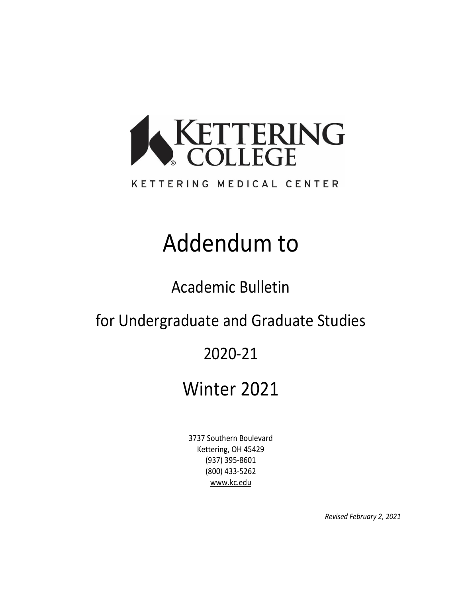

### KETTERING MEDICAL CENTER

# Addendum to

Academic Bulletin

for Undergraduate and Graduate Studies

# 2020-21

# Winter 2021

3737 Southern Boulevard Kettering, OH 45429 (937) 395-8601 (800) 433-5262 [www.kc.edu](http://www.kc.edu/)

*Revised February 2, 2021*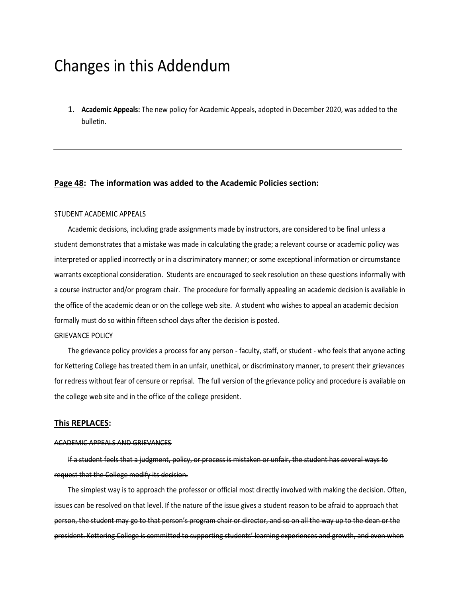## Changes in this Addendum

1. **Academic Appeals:** The new policy for Academic Appeals, adopted in December 2020, was added to the bulletin.

#### **Page 48: The information was added to the Academic Policies section:**

#### STUDENT ACADEMIC APPEALS

Academic decisions, including grade assignments made by instructors, are considered to be final unless a student demonstrates that a mistake was made in calculating the grade; a relevant course or academic policy was interpreted or applied incorrectly or in a discriminatory manner; or some exceptional information or circumstance warrants exceptional consideration. Students are encouraged to seek resolution on these questions informally with a course instructor and/or program chair. The procedure for formally appealing an academic decision is available in the office of the academic dean or on the college web site. A student who wishes to appeal an academic decision formally must do so within fifteen school days after the decision is posted.

#### GRIEVANCE POLICY

The grievance policy provides a process for any person - faculty, staff, or student - who feels that anyone acting for Kettering College has treated them in an unfair, unethical, or discriminatory manner, to present their grievances for redress without fear of censure or reprisal. The full version of the grievance policy and procedure is available on the college web site and in the office of the college president.

#### **This REPLACES:**

#### ACADEMIC APPEALS AND GRIEVANCES

If a student feels that a judgment, policy, or process is mistaken or unfair, the student has several ways to request that the College modify its decision.

The simplest way is to approach the professor or official most directly involved with making the decision. Often, issues can be resolved on that level. If the nature of the issue gives a student reason to be afraid to approach that person, the student may go to that person's program chair or director, and so on all the way up to the dean or the president. Kettering College is committed to supporting students' learning experiences and growth, and even when